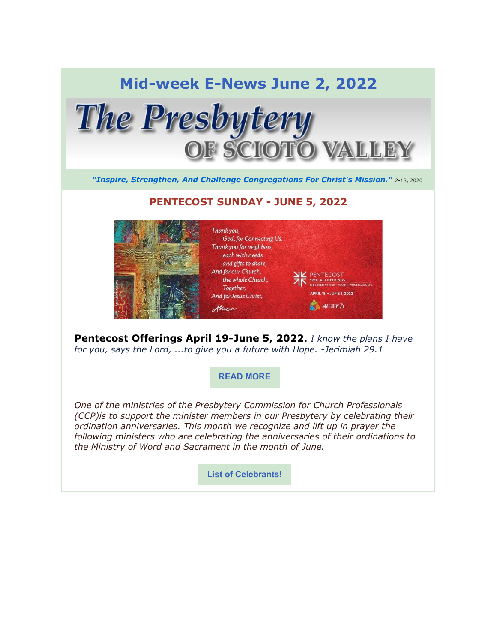

**Pentecost Offerings April 19-June 5, 2022.** *I know the plans I have for you, says the Lord, ...to give you a future with Hope. -Jerimiah 29.1*

Together,

Amen.

And for Jesus Christ,

**PRIL 18 - JUNE 5, 2022** 

MATTHEW 25

**[READ MORE](https://specialofferings.pcusa.org/offering/pentecost/)**

*One of the ministries of the Presbytery Commission for Church Professionals (CCP)is to support the minister members in our Presbytery by celebrating their ordination anniversaries. This month we recognize and lift up in prayer the following ministers who are celebrating the anniversaries of their ordinations to the Ministry of Word and Sacrament in the month of June.*

**[List of Celebrants!](https://psvonline.org/publication/ordination-celebration-for-june-2022)**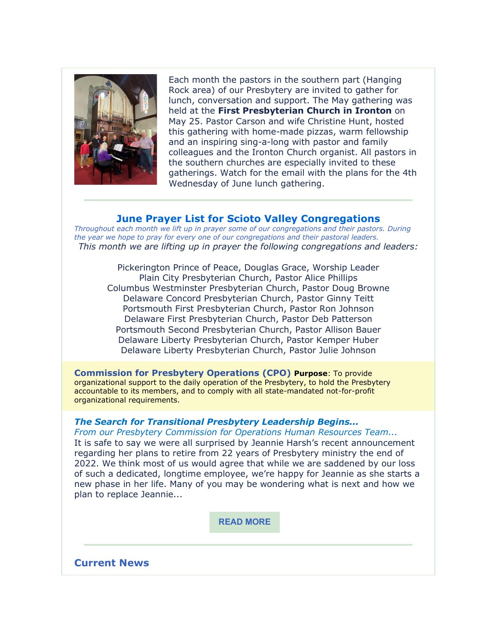

Each month the pastors in the southern part (Hanging Rock area) of our Presbytery are invited to gather for lunch, conversation and support. The May gathering was held at the **First Presbyterian Church in Ironton** on May 25. Pastor Carson and wife Christine Hunt, hosted this gathering with home-made pizzas, warm fellowship and an inspiring sing-a-long with pastor and family colleagues and the Ironton Church organist. All pastors in the southern churches are especially invited to these gatherings. Watch for the email with the plans for the 4th Wednesday of June lunch gathering.

## **June Prayer List for Scioto Valley Congregations**

*Throughout each month we lift up in prayer some of our congregations and their pastors. During the year we hope to pray for every one of our congregations and their pastoral leaders. This month we are lifting up in prayer the following congregations and leaders:*

Pickerington Prince of Peace, Douglas Grace, Worship Leader Plain City Presbyterian Church, Pastor Alice Phillips Columbus Westminster Presbyterian Church, Pastor Doug Browne Delaware Concord Presbyterian Church, Pastor Ginny Teitt Portsmouth First Presbyterian Church, Pastor Ron Johnson Delaware First Presbyterian Church, Pastor Deb Patterson Portsmouth Second Presbyterian Church, Pastor Allison Bauer Delaware Liberty Presbyterian Church, Pastor Kemper Huber Delaware Liberty Presbyterian Church, Pastor Julie Johnson

**Commission for Presbytery Operations (CPO) Purpose**: To provide organizational support to the daily operation of the Presbytery, to hold the Presbytery accountable to its members, and to comply with all state-mandated not-for-profit organizational requirements.

### *The Search for Transitional Presbytery Leadership Begins...*

*From our Presbytery Commission for Operations Human Resources Team...* It is safe to say we were all surprised by Jeannie Harsh's recent announcement regarding her plans to retire from 22 years of Presbytery ministry the end of 2022. We think most of us would agree that while we are saddened by our loss of such a dedicated, longtime employee, we're happy for Jeannie as she starts a new phase in her life. Many of you may be wondering what is next and how we plan to replace Jeannie...

**[READ MORE](https://psvonline.org/?post_type=pydnet_publications&p=18152&preview=true)**

**Current News**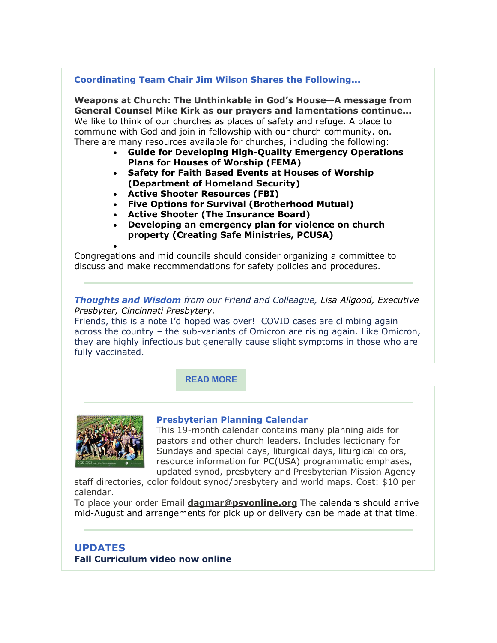### **Coordinating Team Chair Jim Wilson Shares the Following...**

**Weapons at Church: The Unthinkable in God's House—A message from General Counsel Mike Kirk as our prayers and lamentations continue...** We like to think of our churches as places of safety and refuge. A place to commune with God and join in fellowship with our church community. on. There are many resources available for churches, including the following:

- **[Guide for Developing High-Quality Emergency Operations](https://www.dhs.gov/sites/default/files/publications/Developing_EOPs_for_Houses_of_Worship_FINAL.PDF)  [Plans for Houses of Worship \(FEMA\)](https://www.dhs.gov/sites/default/files/publications/Developing_EOPs_for_Houses_of_Worship_FINAL.PDF)**
- **[Safety for Faith Based Events at Houses of Worship](https://www.dhs.gov/publication/safety-faith-based-events-and-houses-worship-nsi-awareness-flyer)  [\(Department of Homeland Security\)](https://www.dhs.gov/publication/safety-faith-based-events-and-houses-worship-nsi-awareness-flyer)**
- **[Active Shooter Resources \(FBI\)](https://www.fbi.gov/about/partnerships/office-of-partner-engagement/active-shooter-resources)**
- **[Five Options for Survival \(Brotherhood Mutual\)](https://www.brotherhoodmutual.com/resources/safety-library/risk-management-articles/disasters-emergencies-and-health/violence-at-church/surviving-a-violent-attack-at-church/)**
- **[Active Shooter \(The Insurance Board\)](https://www.insuranceboard.org/active-shooter/)**
- **[Developing an emergency plan for violence on church](https://www.presbyterianmission.org/legal-resources/creating-safe-ministries/developing-an-emergency-plan-for-violence-on-church-property/)  [property \(Creating Safe Ministries, PCUSA\)](https://www.presbyterianmission.org/legal-resources/creating-safe-ministries/developing-an-emergency-plan-for-violence-on-church-property/)**

Congregations and mid councils should consider organizing a committee to discuss and make recommendations for safety policies and procedures.

*Thoughts and Wisdom from our Friend and Colleague, Lisa Allgood, Executive Presbyter, Cincinnati Presbytery.*

Friends, this is a note I'd hoped was over! COVID cases are climbing again across the country – the sub-variants of Omicron are rising again. Like Omicron, they are highly infectious but generally cause slight symptoms in those who are fully vaccinated.

### **[READ MORE](https://psvonline.org/publication/love-note-update-on-covid19-omicron/)**



•

### **Presbyterian Planning Calendar**

This 19-month calendar contains many planning aids for pastors and other church leaders. Includes lectionary for Sundays and special days, liturgical days, liturgical colors, resource information for PC(USA) programmatic emphases, updated synod, presbytery and Presbyterian Mission Agency

staff directories, color foldout synod/presbytery and world maps. Cost: \$10 per calendar.

To place your order Email **[dagmar@psvonline.org](mailto:dagmar@psvonline.org)** The calendars should arrive mid-August and arrangements for pick up or delivery can be made at that time.

**UPDATES Fall Curriculum video now online**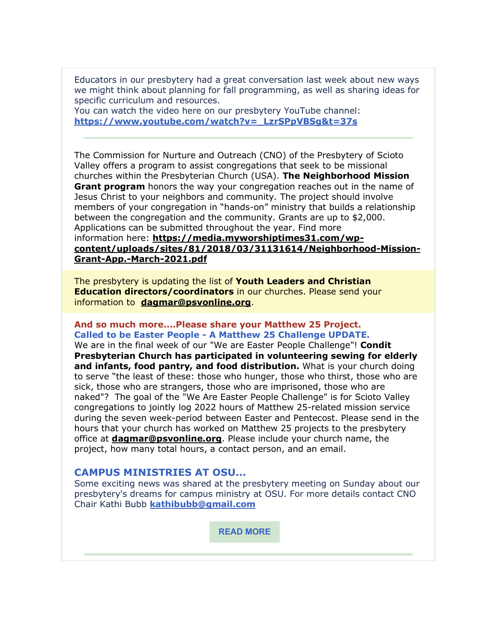Educators in our presbytery had a great conversation last week about new ways we might think about planning for fall programming, as well as sharing ideas for specific curriculum and resources.

You can watch the video here on our presbytery YouTube channel: **[https://www.youtube.com/watch?v=\\_LzrSPpVBSg&t=37s](https://www.youtube.com/watch?v=_LzrSPpVBSg&t=37s)**

The Commission for Nurture and Outreach (CNO) of the Presbytery of Scioto Valley offers a program to assist congregations that seek to be missional churches within the Presbyterian Church (USA). **The Neighborhood Mission Grant program** honors the way your congregation reaches out in the name of Jesus Christ to your neighbors and community*.* The project should involve members of your congregation in "hands-on" ministry that builds a relationship between the congregation and the community. Grants are up to \$2,000. Applications can be submitted throughout the year. Find more information here: **[https://media.myworshiptimes31.com/wp](https://media.myworshiptimes31.com/wp-content/uploads/sites/81/2018/03/31131614/Neighborhood-Mission-Grant-App.-March-2021.pdf)[content/uploads/sites/81/2018/03/31131614/Neighborhood-Mission-](https://media.myworshiptimes31.com/wp-content/uploads/sites/81/2018/03/31131614/Neighborhood-Mission-Grant-App.-March-2021.pdf)[Grant-App.-March-2021.pdf](https://media.myworshiptimes31.com/wp-content/uploads/sites/81/2018/03/31131614/Neighborhood-Mission-Grant-App.-March-2021.pdf)**

The presbytery is updating the list of **Youth Leaders and Christian Education directors/coordinators** in our churches. Please send your information to **[dagmar@psvonline.org](mailto:dagmar@psvonline.org)**.

### **And so much more....Please share your Matthew 25 Project. Called to be Easter People - A Matthew 25 Challenge UPDATE.**

We are in the final week of our "We are Easter People Challenge"! **Condit Presbyterian Church has participated in volunteering sewing for elderly and infants, food pantry, and food distribution.** What is your church doing to serve "the least of these: those who hunger, those who thirst, those who are sick, those who are strangers, those who are imprisoned, those who are naked"? The goal of the "We Are Easter People Challenge" is for Scioto Valley congregations to jointly log 2022 hours of Matthew 25-related mission service during the seven week-period between Easter and Pentecost. Please send in the hours that your church has worked on Matthew 25 projects to the presbytery office at **[dagmar@psvonline.org](mailto:dagmar@psvonline.org)**. Please include your church name, the project, how many total hours, a contact person, and an email.

### **CAMPUS MINISTRIES AT OSU...**

Some exciting news was shared at the presbytery meeting on Sunday about our presbytery's dreams for campus ministry at OSU. For more details contact CNO Chair Kathi Bubb **[kathibubb@gmail.com](mailto:kathibubb@gmail.com)**

**[READ MORE](https://psvonline.org/publication/campus-ministry-presbytery-talk-may-2022/)**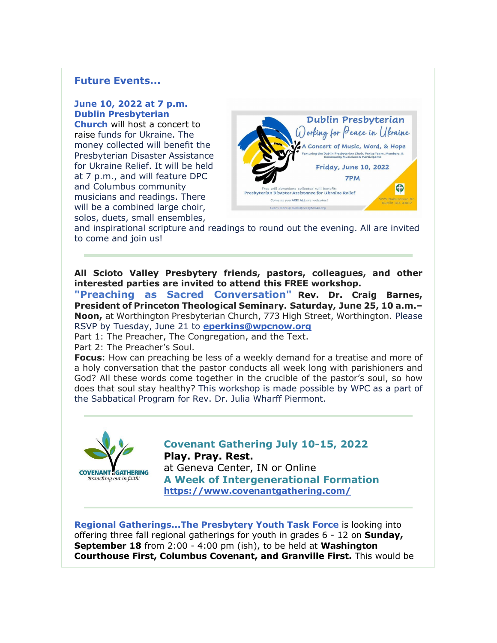# **Future Events...**

### **June 10, 2022 at 7 p.m. Dublin Presbyterian**

**Church** will host a concert to raise funds for Ukraine. The money collected will benefit the Presbyterian Disaster Assistance for Ukraine Relief. It will be held at 7 p.m., and will feature DPC and Columbus community musicians and readings. There will be a combined large choir, solos, duets, small ensembles,



and inspirational scripture and readings to round out the evening. All are invited to come and join us!

**All Scioto Valley Presbytery friends, pastors, colleagues, and other interested parties are invited to attend this FREE workshop.**

**"Preaching as Sacred Conversation" Rev. Dr. Craig Barnes, President of Princeton Theological Seminary. Saturday, June 25, 10 a.m.– Noon,** at Worthington Presbyterian Church, 773 High Street, Worthington. Please RSVP by Tuesday, June 21 to **[eperkins@wpcnow.org](mailto:eperkins@wpcnow.org)**

Part 1: The Preacher, The Congregation, and the Text.

Part 2: The Preacher's Soul.

**Focus**: How can preaching be less of a weekly demand for a treatise and more of a holy conversation that the pastor conducts all week long with parishioners and God? All these words come together in the crucible of the pastor's soul, so how does that soul stay healthy? This workshop is made possible by WPC as a part of the Sabbatical Program for Rev. Dr. Julia Wharff Piermont.



**Covenant Gathering July 10-15, 2022 Play. Pray. Rest.**

at Geneva Center, IN or Online **A Week of Intergenerational Formation <https://www.covenantgathering.com/>**

**Regional Gatherings...The Presbytery Youth Task Force** is looking into offering three fall regional gatherings for youth in grades 6 - 12 on **Sunday, September 18** from 2:00 - 4:00 pm (ish), to be held at **Washington Courthouse First, Columbus Covenant, and Granville First.** This would be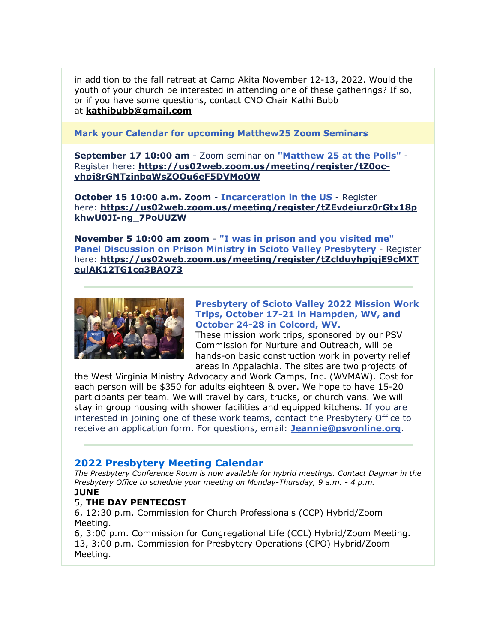in addition to the fall retreat at Camp Akita November 12-13, 2022. Would the youth of your church be interested in attending one of these gatherings? If so, or if you have some questions, contact CNO Chair Kathi Bubb at **[kathibubb@gmail.com](mailto:kathibubb@gmail.com)**

**Mark your Calendar for upcoming Matthew25 Zoom Seminars**

**September 17 10:00 am** - Zoom seminar on **"Matthew 25 at the Polls"** - Register here: **[https://us02web.zoom.us/meeting/register/tZ0oc](https://us02web.zoom.us/meeting/register/tZ0oc-yhpj8rGNTzinbgWsZQOu6eF5DVMoOW)[yhpj8rGNTzinbgWsZQOu6eF5DVMoOW](https://us02web.zoom.us/meeting/register/tZ0oc-yhpj8rGNTzinbgWsZQOu6eF5DVMoOW)**

**October 15 10:00 a.m. Zoom** - **Incarceration in the US** - Register here: **[https://us02web.zoom.us/meeting/register/tZEvdeiurz0rGtx18p](https://us02web.zoom.us/meeting/register/tZEvdeiurz0rGtx18pkhwU0JI-ng_7PoUUZW) [khwU0JI-ng\\_7PoUUZW](https://us02web.zoom.us/meeting/register/tZEvdeiurz0rGtx18pkhwU0JI-ng_7PoUUZW)**

**November 5 10:00 am zoom** - **"I was in prison and you visited me" Panel Discussion on Prison Ministry in Scioto Valley Presbytery** - Register here: **[https://us02web.zoom.us/meeting/register/tZclduyhpjgjE9cMXT](https://us02web.zoom.us/meeting/register/tZclduyhpjgjE9cMXTeulAK12TG1cq3BAO73) [eulAK12TG1cq3BAO73](https://us02web.zoom.us/meeting/register/tZclduyhpjgjE9cMXTeulAK12TG1cq3BAO73)**



### **Presbytery of Scioto Valley 2022 Mission Work Trips, October 17-21 in Hampden, WV, and October 24-28 in Colcord, WV.**

These mission work trips, sponsored by our PSV Commission for Nurture and Outreach, will be hands-on basic construction work in poverty relief areas in Appalachia. The sites are two projects of

the West Virginia Ministry Advocacy and Work Camps, Inc. (WVMAW). Cost for each person will be \$350 for adults eighteen & over. We hope to have 15-20 participants per team. We will travel by cars, trucks, or church vans. We will stay in group housing with shower facilities and equipped kitchens. If you are interested in joining one of these work teams, contact the Presbytery Office to receive an application form. For questions, email: **[Jeannie@psvonline.org](mailto:Jeannie@psvonline.org)**.

# **2022 Presbytery Meeting Calendar**

*The Presbytery Conference Room is now available for hybrid meetings. Contact Dagmar in the Presbytery Office to schedule your meeting on Monday-Thursday, 9 a.m. - 4 p.m.*

### **JUNE**

# 5, **THE DAY PENTECOST**

6, 12:30 p.m. Commission for Church Professionals (CCP) Hybrid/Zoom Meeting.

6, 3:00 p.m. Commission for Congregational Life (CCL) Hybrid/Zoom Meeting. 13, 3:00 p.m. Commission for Presbytery Operations (CPO) Hybrid/Zoom Meeting.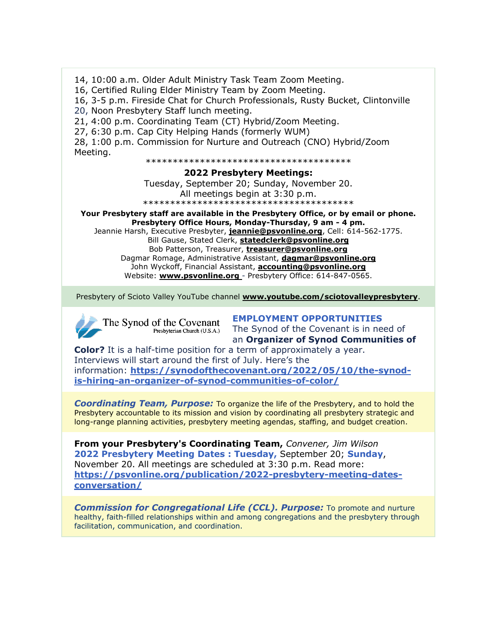14, 10:00 a.m. Older Adult Ministry Task Team Zoom Meeting. 16, Certified Ruling Elder Ministry Team by Zoom Meeting. 16, 3-5 p.m. Fireside Chat for Church Professionals, Rusty Bucket, Clintonville 20, Noon Presbytery Staff lunch meeting. 21, 4:00 p.m. Coordinating Team (CT) Hybrid/Zoom Meeting. 27, 6:30 p.m. Cap City Helping Hands (formerly WUM) 28, 1:00 p.m. Commission for Nurture and Outreach (CNO) Hybrid/Zoom Meeting.

\*\*\*\*\*\*\*\*\*\*\*\*\*\*\*\*\*\*\*\*\*\*\*\*\*\*\*\*\*\*\*\*\*\*\*\*\*\*

#### **2022 Presbytery Meetings:**

Tuesday, September 20; Sunday, November 20. All meetings begin at 3:30 p.m. \*\*\*\*\*\*\*\*\*\*\*\*\*\*\*\*\*\*\*\*\*\*\*\*\*\*\*\*\*\*\*\*\*\*\*\*\*\*\*

**Your Presbytery staff are available in the Presbytery Office, or by email or phone. Presbytery Office Hours, Monday-Thursday, 9 am - 4 pm.** Jeannie Harsh, Executive Presbyter, **[jeannie@psvonline.org](mailto:jeannie@psvonline.org)**, Cell: 614-562-1775. Bill Gause, Stated Clerk, **[statedclerk@psvonline.org](mailto:statedclerk@psvonline.org)** Bob Patterson, Treasurer, **[treasurer@psvonline.org](mailto:treasurer@psvonline.org)** Dagmar Romage, Administrative Assistant, **[dagmar@psvonline.org](mailto:dagmar@psvonline.org)** John Wyckoff, Financial Assistant, **[accounting@psvonline.org](mailto:accounting@psvonline.org)** Website: **[www.psvonline.org](http://www.psvonline.org/)** - Presbytery Office: 614-847-0565.

Presbytery of Scioto Valley YouTube channel **[www.youtube.com/sciotovalleypresbytery](http://www.youtube.com/sciotovalleypresbytery)**.

The Synod of the Covenant Presbyterian Church (U.S.A.) **EMPLOYMENT OPPORTUNITIES** The Synod of the Covenant is in need of an **Organizer of Synod Communities of** 

**Color?** It is a half-time position for a term of approximately a year. Interviews will start around the first of July. Here's the information: **[https://synodofthecovenant.org/2022/05/10/the-synod](https://synodofthecovenant.org/2022/05/10/the-synod-is-hiring-an-organizer-of-synod-communities-of-color/)[is-hiring-an-organizer-of-synod-communities-of-color/](https://synodofthecovenant.org/2022/05/10/the-synod-is-hiring-an-organizer-of-synod-communities-of-color/)**

*Coordinating Team, Purpose:* To organize the life of the Presbytery, and to hold the Presbytery accountable to its mission and vision by coordinating all presbytery strategic and long-range planning activities, presbytery meeting agendas, staffing, and budget creation.

**From your Presbytery's Coordinating Team,** *Convener, Jim Wilson* **2022 Presbytery Meeting Dates : Tuesday,** September 20; **Sunday**, November 20. All meetings are scheduled at 3:30 p.m. Read more: **[https://psvonline.org/publication/2022-presbytery-meeting-dates](https://psvonline.org/publication/2022-presbytery-meeting-dates-conversation/)[conversation/](https://psvonline.org/publication/2022-presbytery-meeting-dates-conversation/)**

*Commission for Congregational Life (CCL). Purpose:* To promote and nurture healthy, faith-filled relationships within and among congregations and the presbytery through facilitation, communication, and coordination.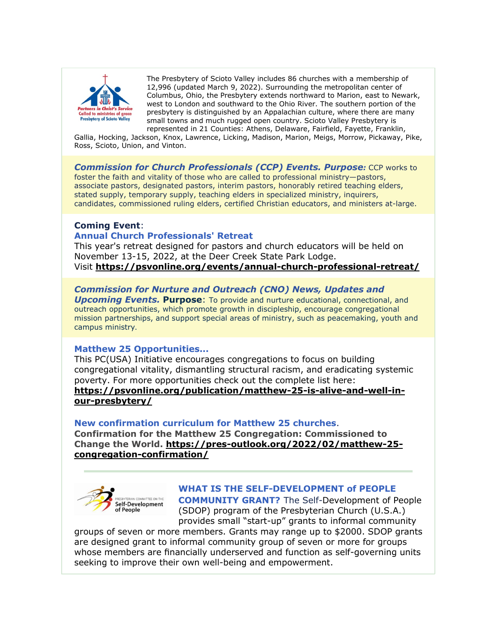

The Presbytery of Scioto Valley includes 86 churches with a membership of 12,996 (updated March 9, 2022). Surrounding the metropolitan center of Columbus, Ohio, the Presbytery extends northward to Marion, east to Newark, west to London and southward to the Ohio River. The southern portion of the presbytery is distinguished by an Appalachian culture, where there are many small towns and much rugged open country. Scioto Valley Presbytery is represented in 21 Counties: Athens, Delaware, Fairfield, Fayette, Franklin,

Gallia, Hocking, Jackson, Knox, Lawrence, Licking, Madison, Marion, Meigs, Morrow, Pickaway, Pike, Ross, Scioto, Union, and Vinton.

*Commission for Church Professionals (CCP) Events. Purpose:* CCP works to foster the faith and vitality of those who are called to professional ministry—pastors, associate pastors, designated pastors, interim pastors, honorably retired teaching elders, stated supply, temporary supply, teaching elders in specialized ministry, inquirers, candidates, commissioned ruling elders, certified Christian educators, and ministers at-large.

### **Coming Event**:

### **Annual Church Professionals' Retreat**

This year's retreat designed for pastors and church educators will be held on November 13-15, 2022, at the Deer Creek State Park Lodge. Visit **<https://psvonline.org/events/annual-church-professional-retreat/>**

### *Commission for Nurture and Outreach (CNO) News, Updates and*

*Upcoming Events.* **Purpose**: To provide and nurture educational, connectional, and outreach opportunities, which promote growth in discipleship, encourage congregational mission partnerships, and support special areas of ministry, such as peacemaking, youth and campus ministry.

### **Matthew 25 Opportunities...**

This PC(USA) Initiative encourages congregations to focus on building congregational vitality, dismantling structural racism, and eradicating systemic poverty. For more opportunities check out the complete list here: **[https://psvonline.org/publication/matthew-25-is-alive-and-well-in](https://psvonline.org/publication/matthew-25-is-alive-and-well-in-our-presbytery/)[our-presbytery/](https://psvonline.org/publication/matthew-25-is-alive-and-well-in-our-presbytery/)**

### **New confirmation curriculum for Matthew 25 churches**.

**Confirmation for the Matthew 25 Congregation: Commissioned to Change the World. [https://pres-outlook.org/2022/02/matthew-25](https://pres-outlook.org/2022/02/matthew-25-congregation-confirmation/) [congregation-confirmation/](https://pres-outlook.org/2022/02/matthew-25-congregation-confirmation/)**



### **WHAT IS THE SELF-DEVELOPMENT of PEOPLE**

**COMMUNITY GRANT?** The Self-Development of People (SDOP) program of the Presbyterian Church (U.S.A.) provides small "start-up" grants to informal community

groups of seven or more members. Grants may range up to \$2000. SDOP grants are designed grant to informal community group of seven or more for groups whose members are financially underserved and function as self-governing units seeking to improve their own well-being and empowerment.